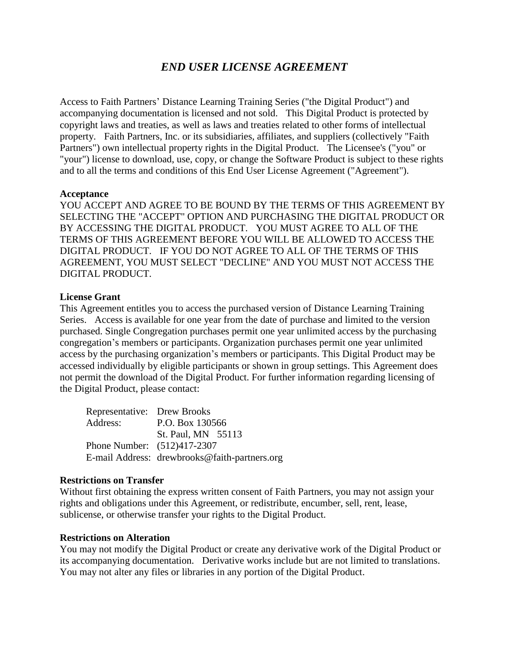# *END USER LICENSE AGREEMENT*

Access to Faith Partners' Distance Learning Training Series ("the Digital Product") and accompanying documentation is licensed and not sold. This Digital Product is protected by copyright laws and treaties, as well as laws and treaties related to other forms of intellectual property. Faith Partners, Inc. or its subsidiaries, affiliates, and suppliers (collectively "Faith Partners") own intellectual property rights in the Digital Product. The Licensee's ("you" or "your") license to download, use, copy, or change the Software Product is subject to these rights and to all the terms and conditions of this End User License Agreement ("Agreement").

## **Acceptance**

YOU ACCEPT AND AGREE TO BE BOUND BY THE TERMS OF THIS AGREEMENT BY SELECTING THE "ACCEPT" OPTION AND PURCHASING THE DIGITAL PRODUCT OR BY ACCESSING THE DIGITAL PRODUCT. YOU MUST AGREE TO ALL OF THE TERMS OF THIS AGREEMENT BEFORE YOU WILL BE ALLOWED TO ACCESS THE DIGITAL PRODUCT. IF YOU DO NOT AGREE TO ALL OF THE TERMS OF THIS AGREEMENT, YOU MUST SELECT "DECLINE" AND YOU MUST NOT ACCESS THE DIGITAL PRODUCT.

## **License Grant**

This Agreement entitles you to access the purchased version of Distance Learning Training Series. Access is available for one year from the date of purchase and limited to the version purchased. Single Congregation purchases permit one year unlimited access by the purchasing congregation's members or participants. Organization purchases permit one year unlimited access by the purchasing organization's members or participants. This Digital Product may be accessed individually by eligible participants or shown in group settings. This Agreement does not permit the download of the Digital Product. For further information regarding licensing of the Digital Product, please contact:

| Representative: Drew Brooks |                                               |
|-----------------------------|-----------------------------------------------|
| Address:                    | P.O. Box 130566                               |
|                             | St. Paul, MN 55113                            |
| Phone Number: (512)417-2307 |                                               |
|                             | E-mail Address: drewbrooks@faith-partners.org |

#### **Restrictions on Transfer**

Without first obtaining the express written consent of Faith Partners, you may not assign your rights and obligations under this Agreement, or redistribute, encumber, sell, rent, lease, sublicense, or otherwise transfer your rights to the Digital Product.

#### **Restrictions on Alteration**

You may not modify the Digital Product or create any derivative work of the Digital Product or its accompanying documentation. Derivative works include but are not limited to translations. You may not alter any files or libraries in any portion of the Digital Product.